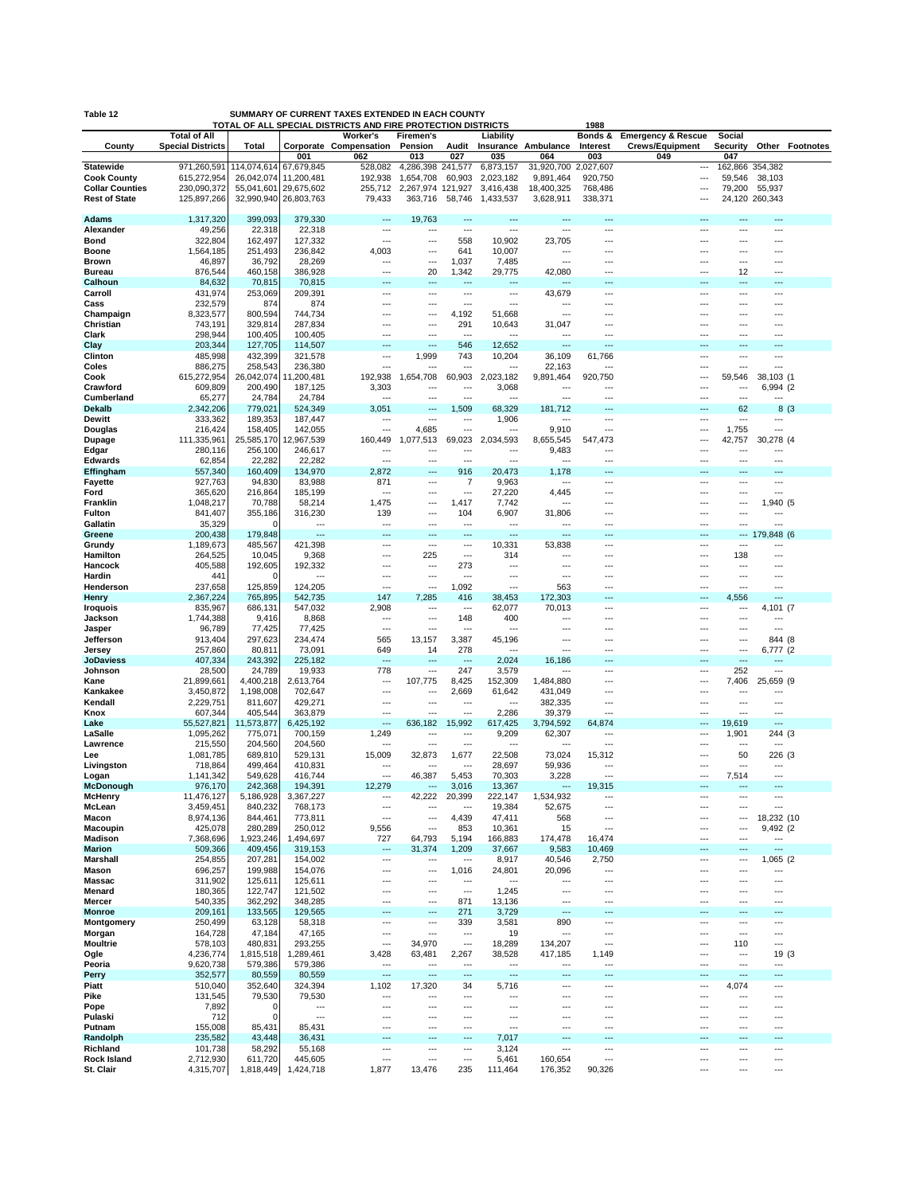| Table 12                                     |                            |                          |                          | SUMMARY OF CURRENT TAXES EXTENDED IN EACH COUNTY                         |                                |                       |                          |                            |                          |                               |                       |                       |                        |
|----------------------------------------------|----------------------------|--------------------------|--------------------------|--------------------------------------------------------------------------|--------------------------------|-----------------------|--------------------------|----------------------------|--------------------------|-------------------------------|-----------------------|-----------------------|------------------------|
|                                              | <b>Total of All</b>        |                          |                          | TOTAL OF ALL SPECIAL DISTRICTS AND FIRE PROTECTION DISTRICTS<br>Worker's | Firemen's                      |                       | Liability                |                            | 1988<br>Bonds &          | <b>Emergency &amp; Rescue</b> | Social                |                       |                        |
| County                                       | <b>Special Districts</b>   | Total                    |                          | Corporate Compensation                                                   | Pension                        | Audit                 |                          | Insurance Ambulance        | Interest                 | <b>Crews/Equipment</b>        | Security              |                       | <b>Other Footnotes</b> |
|                                              |                            |                          | 001                      | 062                                                                      | 013                            | 027                   | 035                      | 064                        | 003                      | 049                           | 047                   |                       |                        |
| <b>Statewide</b>                             | 971,260,591                | 114,074,614              | 67,679,845               | 528,082                                                                  | 4,286,398                      | 241,577               | 6,873,157                | 31,920,700                 | 2,027,607                | ---                           | 162,866 354,382       |                       |                        |
| <b>Cook County</b><br><b>Collar Counties</b> | 615,272,954<br>230,090,372 | 26,042,074<br>55,041,601 | 11,200,481<br>29,675,602 | 192,938<br>255,712                                                       | 1,654,708<br>2,267,974 121,927 | 60,903                | 2,023,182<br>3,416,438   | 9,891,464<br>18,400,325    | 920,750<br>768,486       | ---<br>---                    | 59,546<br>79,200      | 38,103<br>55,937      |                        |
| <b>Rest of State</b>                         | 125,897,266                |                          | 32,990,940 26,803,763    | 79,433                                                                   | 363,716                        | 58,746                | 1,433,537                | 3,628,911                  | 338,371                  | ---                           |                       | 24,120 260,343        |                        |
|                                              |                            |                          |                          |                                                                          |                                |                       |                          |                            |                          |                               |                       |                       |                        |
| <b>Adams</b>                                 | 1,317,320                  | 399,093                  | 379,330                  | ---                                                                      | 19,763                         |                       | $\sim$                   | ---                        | $\overline{a}$           | ---                           | $\overline{a}$        | $\overline{a}$        |                        |
| Alexander                                    | 49,256                     | 22,318                   | 22,318                   | $\overline{\phantom{a}}$                                                 | ---                            | ---                   | ---                      | ---                        | ---                      | ---                           | ---                   | ---                   |                        |
| Bond                                         | 322,804                    | 162,497                  | 127,332                  | ---                                                                      | ---                            | 558                   | 10,902                   | 23,705<br>---              | ---<br>                  | ---<br>---                    | <br>---               |                       |                        |
| <b>Boone</b><br><b>Brown</b>                 | 1,564,185<br>46,897        | 251,493<br>36,792        | 236,842<br>28,269        | 4,003<br>---                                                             | ---<br>                        | 641<br>1,037          | 10,007<br>7,485          | $\overline{a}$             | ---                      | ---                           | $\overline{a}$        | ---                   |                        |
| <b>Bureau</b>                                | 876,544                    | 460,158                  | 386,928                  | ---                                                                      | 20                             | 1,342                 | 29,775                   | 42,080                     | ---                      | ---                           | 12                    | ---                   |                        |
| Calhoun                                      | 84,632                     | 70,815                   | 70,815                   | ---                                                                      | ---                            | ---                   | ---                      | ---                        | ---                      | ---                           | ---                   | ---                   |                        |
| Carroll                                      | 431,974                    | 253,069                  | 209,391                  | ---                                                                      | ---                            | ---                   | $\overline{\phantom{a}}$ | 43,679                     | ---                      | ---                           | ---                   | ---                   |                        |
| Cass                                         | 232,579                    | 874                      | 874                      |                                                                          |                                | …                     | ---                      |                            |                          | ---                           | ---                   |                       |                        |
| Champaign                                    | 8,323,577                  | 800,594                  | 744,734                  | ---                                                                      | ---<br>---                     | 4,192                 | 51,668                   | $\overline{a}$             | ---                      | ---                           | ---                   | ---                   |                        |
| Christian<br>Clark                           | 743,191<br>298,944         | 329,814<br>100,405       | 287,834<br>100,405       | <br>---                                                                  | ---                            | 291<br>$\overline{a}$ | 10,643                   | 31,047<br>$\cdots$         | ---<br>$\sim$            | ---<br>$\sim$                 | ---<br>               | ---<br>$\sim$         |                        |
| Clay                                         | 203,344                    | 127,705                  | 114,507                  | ---                                                                      | ---                            | 546                   | 12,652                   | $\overline{a}$             | ---                      | ---                           | ---                   | $\overline{a}$        |                        |
| Clinton                                      | 485,998                    | 432,399                  | 321,578                  | ---                                                                      | 1,999                          | 743                   | 10,204                   | 36,109                     | 61,766                   | ---                           | ---                   | ---                   |                        |
| Coles                                        | 886,275                    | 258,543                  | 236,380                  | ---                                                                      |                                | ---                   |                          | 22,163                     | ---                      | ---                           |                       | $\sim$                |                        |
| Cook                                         | 615,272,954                | 26,042,074               | 11,200,481               | 192,938                                                                  | 1,654,708                      | 60,903                | 2,023,182                | 9,891,464                  | 920,750                  | ---                           | 59,546                | 38,103 (1             |                        |
| Crawford                                     | 609,809                    | 200,490                  | 187,125                  | 3,303                                                                    |                                | Ξ.                    | 3,068                    |                            |                          | ---                           |                       | 6,994 (2              |                        |
| Cumberland                                   | 65,277                     | 24,784                   | 24,784<br>524,349        | ---                                                                      | ---                            | ---                   | $\sim$                   | $\cdots$                   | $\overline{\phantom{a}}$ | $\overline{a}$                | $\overline{a}$<br>62  | $-$                   |                        |
| <b>Dekalb</b><br>Dewitt                      | 2,342,206<br>333,362       | 779,021<br>189,353       | 187,447                  | 3,051<br>…                                                               | ---<br>…                       | 1,509<br>---          | 68,329<br>1,906          | 181,712<br>---             | ---<br>---               | $---$<br>---                  |                       | 8(3)<br>---           |                        |
| <b>Douglas</b>                               | 216,424                    | 158,405                  | 142,055                  | $\sim$                                                                   | 4,685                          |                       | ---                      | 9,910                      | $\overline{\phantom{a}}$ | $\overline{a}$                | 1,755                 | ---                   |                        |
| Dupage                                       | 111,335,961                | 25,585,170               | 12,967,539               | 160,449                                                                  | 1,077,513                      | 69,023                | 2,034,593                | 8,655,545                  | 547,473                  | ---                           | 42,757                | 30,278 (4             |                        |
| Edgar                                        | 280,116                    | 256,100                  | 246,617                  | ---                                                                      |                                | ÷÷.                   | ---                      | 9,483                      | $\overline{a}$           | $\sim$                        |                       | $\overline{a}$        |                        |
| <b>Edwards</b>                               | 62,854                     | 22,282                   | 22,282                   | $\sim$                                                                   | ---                            | $\sim$                | $\sim$                   | $\overline{a}$             | $\sim$                   | ---                           | ---                   | ---                   |                        |
| Effingham                                    | 557,340                    | 160,409                  | 134,970                  | 2,872                                                                    |                                | 916                   | 20,473                   | 1,178                      |                          |                               |                       |                       |                        |
| Fayette<br>Ford                              | 927,763<br>365,620         | 94,830<br>216,864        | 83,988<br>185,199        | 871<br>---                                                               | ---<br>---                     | 7<br>---              | 9,963<br>27,220          | $\cdots$<br>4,445          | ---<br>---               | $\overline{a}$<br>---         | ---<br>---            | ---<br>---            |                        |
| Franklin                                     | 1,048,217                  | 70,788                   | 58,214                   | 1,475                                                                    | ---                            | 1,417                 | 7,742                    | ---                        |                          | ---                           | ---                   | 1,940 (5              |                        |
| Fulton                                       | 841,407                    | 355,186                  | 316,230                  | 139                                                                      | ---                            | 104                   | 6,907                    | 31,806                     | ---                      | ---                           | ---                   |                       |                        |
| Gallatin                                     | 35,329                     |                          | ---                      | ---                                                                      |                                | ---                   | ---                      | ---                        | ---                      | ---                           |                       | ---                   |                        |
| Greene                                       | 200,438                    | 179,848                  |                          |                                                                          |                                |                       | ---                      |                            |                          |                               | ---                   | 179,848 (6            |                        |
| Grundy                                       | 1,189,673                  | 485,567                  | 421,398                  | ---                                                                      | ---                            | ---                   | 10,331                   | 53,838                     | ---                      | $\overline{a}$                | $\cdots$              | ---                   |                        |
| Hamilton                                     | 264,525                    | 10,045                   | 9,368                    | ---                                                                      | 225                            | ---                   | 314                      | ---                        | ---                      | ---                           | 138                   | ---                   |                        |
| Hancock<br>Hardin                            | 405,588<br>441             | 192,605                  | 192,332<br>$\cdots$      | ---                                                                      | ---<br>…                       | 273<br>---            | ---<br>---               | $\cdots$                   | ---                      | ---<br>$\overline{a}$         | ---<br>---            | ---                   |                        |
| Henderson                                    | 237,658                    | 125,859                  | 124,205                  | …                                                                        |                                | 1,092                 | ---                      | 563                        | ---                      | ---                           |                       | ---                   |                        |
| Henry                                        | 2,367,224                  | 765,895                  | 542,735                  | 147                                                                      | 7,285                          | 416                   | 38,453                   | 172,303                    | ---                      | ---                           | 4,556                 |                       |                        |
| <b>Iroquois</b>                              | 835,967                    | 686,131                  | 547,032                  | 2,908                                                                    | ---                            | $\overline{a}$        | 62,077                   | 70,013                     | $\overline{\phantom{a}}$ | $\cdots$                      | $\cdots$              | 4,101 (7              |                        |
| Jackson                                      | 1,744,388                  | 9,416                    | 8,868                    | …                                                                        |                                | 148                   | 400                      |                            |                          | ---                           | ---                   |                       |                        |
| Jasper                                       | 96,789                     | 77,425                   | 77,425                   | ---                                                                      | ---                            | ---                   | ---                      |                            |                          | ---                           | ---                   | ---                   |                        |
| Jefferson<br>Jersey                          | 913,404<br>257,860         | 297,623<br>80,811        | 234,474<br>73,091        | 565<br>649                                                               | 13,157<br>14                   | 3,387<br>278          | 45,196                   | $\cdots$<br>$\overline{a}$ | $--$<br>$\sim$           | ---<br>---                    | ---<br>               | 844 (8<br>6,777 (2    |                        |
| <b>JoDaviess</b>                             | 407,334                    | 243,392                  | 225,182                  | $\sim$                                                                   | ---                            | ---                   | 2,024                    | 16,186                     | $-$                      | ---                           | ---                   | ---                   |                        |
| Johnson                                      | 28,500                     | 24,789                   | 19,933                   | 778                                                                      | ---                            | 247                   | 3,579                    | $\overline{a}$             | ---                      | ---                           | 252                   | ---                   |                        |
| Kane                                         | 21,899,661                 | 4,400,218                | 2,613,764                | …                                                                        | 107,775                        | 8,425                 | 152,309                  | 1,484,880                  | ---                      | ---                           | 7,406                 | 25,659 (9             |                        |
| Kankakee                                     | 3,450,872                  | 1,198,008                | 702,647                  | ---                                                                      | ---                            | 2,669                 | 61,642                   | 431,049                    | ---                      | ---                           | ---                   | ---                   |                        |
| Kendall<br>Knox                              | 2,229,751<br>607,344       | 811,607<br>405,544       | 429,271<br>363,879       | ---<br>$\sim$                                                            | ---<br>                        | ---<br>$\sim$         | ---<br>2,286             | 382,335<br>39,379          | ---<br>$\sim$            | ---<br>$\sim$                 | ---<br>$\overline{a}$ | ---<br>$\overline{a}$ |                        |
| Lake                                         | 55,527,821                 | 11,573,877               | 6,425,192                | ---                                                                      | 636,182                        | 15,992                | 617,425                  | 3,794,592                  | 64,874                   | ---                           | 19,619                | ---                   |                        |
| LaSalle                                      | 1,095,262                  | 775,071                  | 700,159                  | 1,249                                                                    | ---                            | ---                   | 9,209                    | 62,307                     | ---                      | ---                           | 1,901                 | 244 (3                |                        |
| Lawrence                                     | 215,550                    | 204,560                  | 204,560                  | ---                                                                      | ---                            |                       | $\overline{a}$           | $\overline{a}$             | $\overline{a}$           | $\overline{a}$                | ---                   | $\overline{a}$        |                        |
| Lee                                          | 1,081,785                  | 689,810                  | 529,131                  | 15,009                                                                   | 32,873                         | 1,677                 | 22,508                   | 73,024                     | 15,312                   | ---                           | 50                    | 226 (3                |                        |
| Livingston                                   | 718,864                    | 499,464                  | 410,831                  | ---                                                                      | ---                            | ---                   | 28,697                   | 59,936                     | ---                      | ---                           | ---                   | ---                   |                        |
| Logan<br>McDonough                           | 1,141,342                  | 549,628<br>242,368       | 416,744<br>194,391       | ---<br>12.279                                                            | 46,387                         | 5,453                 | 70,303                   | 3,228                      | ---<br>19,315            | $\overline{a}$                | 7,514                 | $\overline{a}$        |                        |
| <b>McHenry</b>                               | 976,170<br>11,476,127      | 5,186,928                | 3,367,227                | ---                                                                      | 42,222                         | 3,016<br>20,399       | 13,367<br>222,147        | 1,534,932                  | $\overline{\phantom{a}}$ | ---                           |                       | ---                   |                        |
| McLean                                       | 3,459,451                  | 840,232                  | 768,173                  | $\overline{a}$                                                           | ---                            | ---                   | 19,384                   | 52,675                     | $\overline{\phantom{a}}$ | $\overline{a}$                | ---                   | ---                   |                        |
| Macon                                        | 8,974,136                  | 844,461                  | 773,811                  | ---                                                                      | ---                            | 4,439                 | 47,411                   | 568                        | ---                      | ---                           | ---                   | 18,232 (10            |                        |
| Macoupin                                     | 425,078                    | 280,289                  | 250,012                  | 9,556                                                                    | …                              | 853                   | 10,361                   | 15                         | ---                      | ---                           | ---                   | 9,492 (2              |                        |
| Madison                                      | 7,368,696                  | 1,923,246                | 1,494,697                | 727                                                                      | 64,793                         | 5,194                 | 166,883                  | 174,478                    | 16,474                   | ---                           | ---                   | $\cdots$              |                        |
| <b>Marion</b>                                | 509,366                    | 409,456                  | 319,153                  | ---                                                                      | 31,374                         | 1,209                 | 37,667                   | 9,583                      | 10,469                   | ---<br>---                    | ---<br>               | ---                   |                        |
| Marshall<br>Mason                            | 254,855<br>696,257         | 207,281<br>199,988       | 154,002<br>154,076       | ---<br>---                                                               | ---<br>                        | …<br>1,016            | 8,917<br>24,801          | 40,546<br>20,096           | 2,750<br>---             | $\overline{a}$                | ---                   | 1,065 (2<br>---       |                        |
| <b>Massac</b>                                | 311,902                    | 125,611                  | 125,611                  |                                                                          | ---                            | …                     |                          | ---                        |                          | ---                           | ---                   | ---                   |                        |
| Menard                                       | 180,365                    | 122,747                  | 121,502                  | ---                                                                      | ---                            | …                     | 1,245                    | ---                        |                          | ---                           | ---                   | ---                   |                        |
| Mercer                                       | 540,335                    | 362,292                  | 348,285                  | ---                                                                      |                                | 871                   | 13,136                   | $\overline{\phantom{a}}$   | ---                      | ---                           | ---                   | ---                   |                        |
| <b>Monroe</b>                                | 209,161                    | 133,565                  | 129,565                  |                                                                          |                                | 271                   | 3,729                    |                            |                          |                               |                       |                       |                        |
| Montgomery                                   | 250,499                    | 63,128                   | 58,318                   | $\sim$                                                                   | ---                            | 339                   | 3,581                    | 890                        | $\overline{\phantom{a}}$ | $\cdots$                      | ---                   | ---                   |                        |
| Morgan<br><b>Moultrie</b>                    | 164,728                    | 47,184<br>480,831        | 47,165                   | ---<br>---                                                               | ---                            | ---<br>               | 19                       | $\overline{a}$             | ---<br>---               | ---<br>---                    | ---                   | ---<br>---            |                        |
| Ogle                                         | 578,103<br>4,236,774       | 1,815,518                | 293,255<br>1,289,461     | 3,428                                                                    | 34,970<br>63,481               | 2,267                 | 18,289<br>38,528         | 134,207<br>417,185         | 1,149                    | ---                           | 110<br>---            | 19 (3                 |                        |
| Peoria                                       | 9,620,738                  | 579,386                  | 579,386                  | $\cdots$                                                                 | ---                            | $\overline{a}$        | $\overline{\phantom{a}}$ | $\overline{\phantom{a}}$   | ---                      | ---                           | ---                   | ---                   |                        |
| Perry                                        | 352,577                    | 80,559                   | 80,559                   | ---                                                                      | …                              | ---                   | ---                      | ---                        | ---                      | ---                           | ---                   | ---                   |                        |
| Piatt                                        | 510,040                    | 352,640                  | 324,394                  | 1,102                                                                    | 17,320                         | 34                    | 5,716                    | $\overline{a}$             | $\overline{\phantom{a}}$ | $\overline{a}$                | 4,074                 | ---                   |                        |
| Pike                                         | 131,545                    | 79,530                   | 79,530                   | ---                                                                      | ---                            | ---                   | ---                      | ---                        | ---                      | ---                           | ---                   | ---                   |                        |
| Pope                                         | 7,892                      | 0                        | ---                      | ---                                                                      | …                              | ---                   | ---                      | ---                        | ---                      | ---                           | ---                   | ---                   |                        |
| Pulaski<br>Putnam                            | 712<br>155,008             | $\mathbf 0$<br>85,431    | ---<br>85,431            | ---<br>---                                                               | ---<br>---                     | ---<br>---            | ---<br>---               | $\cdots$<br>---            | ---<br>---               | ---<br>---                    | ---<br>               | ---<br>---            |                        |
| Randolph                                     | 235,582                    | 43,448                   | 36,431                   | ---                                                                      | ---                            | …                     | 7,017                    | ---                        | ---                      |                               | ---                   | ---                   |                        |
| Richland                                     | 101,738                    | 58,292                   | 55,168                   | ---                                                                      | ---                            | ---                   | 3,124                    | ---                        | ---                      | $\overline{\phantom{a}}$      | ---                   | ---                   |                        |
| Rock Island                                  | 2,712,930                  | 611,720                  | 445,605                  | ---                                                                      |                                | ---                   | 5,461                    | 160,654                    | $\overline{\phantom{a}}$ | ---                           | ---                   | ---                   |                        |
| St. Clair                                    | 4,315,707                  | 1,818,449                | 1,424,718                | 1,877                                                                    | 13,476                         | 235                   | 111,464                  | 176,352                    | 90,326                   | $\overline{a}$                | ---                   | $\overline{a}$        |                        |